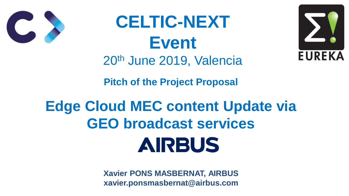



**Pitch of the Project Proposal**

# **Edge Cloud MEC content Update via GEO broadcast services** AIRBUS

**CELTIC-NEXT Event** 20th June 2019, Valencia



**Xavier PONS MASBERNAT, AIRBUS xavier.ponsmasbernat@airbus.com**

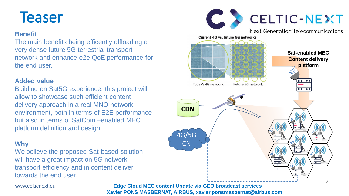





## **Teaser**

#### **Benefit**

The main benefits being efficently offloading a very dense future 5G terrestrial transport network and enhance e2e QoE performance for the end user.

#### **Added value**

We believe the proposed Sat-based solution will have a great impact on 5G network transport efficiency and in content deliver towards the end user.

Building on Sat5G experience, this project will allow to showcase such efficient content delivery approach in a real MNO network environment, both in terms of E2E performance but also in terms of SatCom –enabled MEC platform definition and design.

#### **Why**

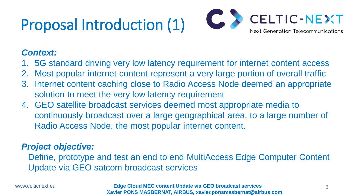# Proposal Introduction (1)



### *Context:*

1. 5G standard driving very low latency requirement for internet content access 2. Most popular internet content represent a very large portion of overall traffic 3. Internet content caching close to Radio Access Node deemed an appropriate

- 
- 
- solution to meet the very low latency requirement
- 4. GEO satellite broadcast services deemed most appropriate media to continuously broadcast over a large geographical area, to a large number of Radio Access Node, the most popular internet content.

### *Project objective:*

# Define, prototype and test an end to end MultiAccess Edge Computer Content

Update via GEO satcom broadcast services

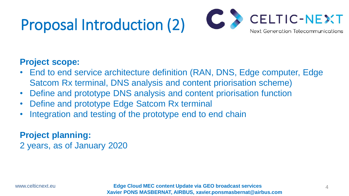## Proposal Introduction (2)

#### **Project scope:**

- Satcom Rx terminal, DNS analysis and content priorisation scheme)
- Define and prototype DNS analysis and content priorisation function
- Define and prototype Edge Satcom Rx terminal
- Integration and testing of the prototype end to end chain

• End to end service architecture definition (RAN, DNS, Edge computer, Edge

### **Project planning:**  2 years, as of January 2020

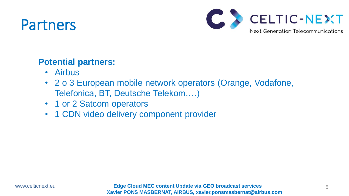## Partners

### **Potential partners:**

- Airbus
- Telefonica, BT, Deutsche Telekom,…)
- 1 or 2 Satcom operators
- 1 CDN video delivery component provider



# • 2 o 3 European mobile network operators (Orange, Vodafone,